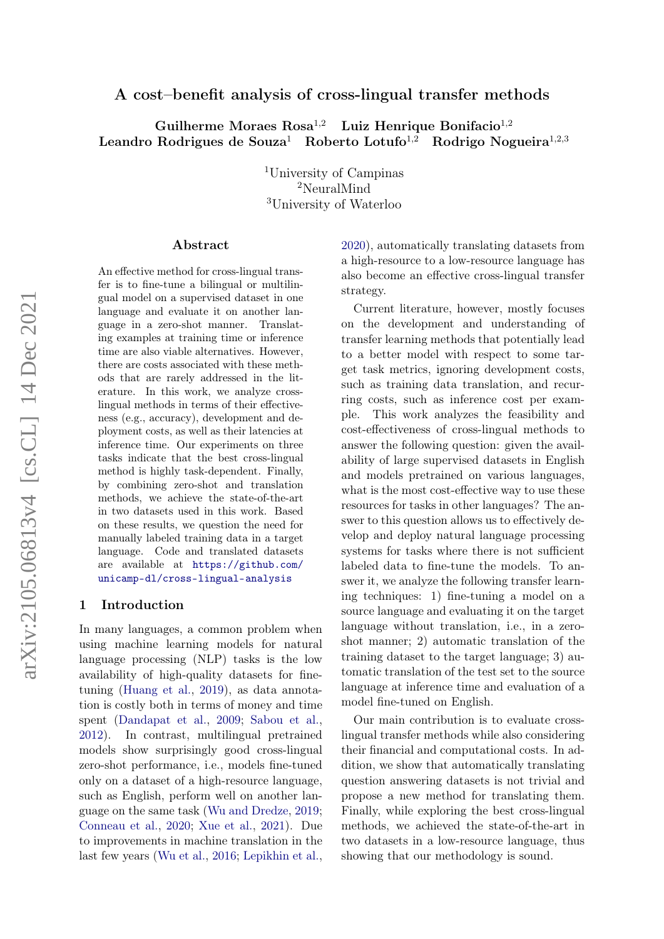## A cost–benefit analysis of cross-lingual transfer methods

Guilherme Moraes  $\text{Rosa}^{1,2}$  Luiz Henrique Bonifacio<sup>1,2</sup> Leandro Rodrigues de Souza<sup>1</sup> Roberto Lotufo<sup>1,2</sup> Rodrigo Nogueira<sup>1,2,3</sup>

> <sup>1</sup>University of Campinas <sup>2</sup>NeuralMind <sup>3</sup>University of Waterloo

#### Abstract

An effective method for cross-lingual transfer is to fine-tune a bilingual or multilingual model on a supervised dataset in one language and evaluate it on another language in a zero-shot manner. Translating examples at training time or inference time are also viable alternatives. However, there are costs associated with these methods that are rarely addressed in the literature. In this work, we analyze crosslingual methods in terms of their effectiveness (e.g., accuracy), development and deployment costs, as well as their latencies at inference time. Our experiments on three tasks indicate that the best cross-lingual method is highly task-dependent. Finally, by combining zero-shot and translation methods, we achieve the state-of-the-art in two datasets used in this work. Based on these results, we question the need for manually labeled training data in a target language. Code and translated datasets are available at [https://github.com/](https://github.com/unicamp-dl/cross-lingual-analysis) [unicamp-dl/cross-lingual-analysis](https://github.com/unicamp-dl/cross-lingual-analysis)

#### 1 Introduction

In many languages, a common problem when using machine learning models for natural language processing (NLP) tasks is the low availability of high-quality datasets for finetuning [\(Huang et al.,](#page-9-0) [2019\)](#page-9-0), as data annotation is costly both in terms of money and time spent [\(Dandapat et al.,](#page-9-1) [2009;](#page-9-1) [Sabou et al.,](#page-10-0) [2012\)](#page-10-0). In contrast, multilingual pretrained models show surprisingly good cross-lingual zero-shot performance, i.e., models fine-tuned only on a dataset of a high-resource language, such as English, perform well on another language on the same task [\(Wu and Dredze,](#page-11-0) [2019;](#page-11-0) [Conneau et al.,](#page-9-2) [2020;](#page-9-2) [Xue et al.,](#page-11-1) [2021\)](#page-11-1). Due to improvements in machine translation in the last few years [\(Wu et al.,](#page-11-2) [2016;](#page-11-2) [Lepikhin et al.,](#page-10-1)

[2020\)](#page-10-1), automatically translating datasets from a high-resource to a low-resource language has also become an effective cross-lingual transfer strategy.

Current literature, however, mostly focuses on the development and understanding of transfer learning methods that potentially lead to a better model with respect to some target task metrics, ignoring development costs, such as training data translation, and recurring costs, such as inference cost per example. This work analyzes the feasibility and cost-effectiveness of cross-lingual methods to answer the following question: given the availability of large supervised datasets in English and models pretrained on various languages, what is the most cost-effective way to use these resources for tasks in other languages? The answer to this question allows us to effectively develop and deploy natural language processing systems for tasks where there is not sufficient labeled data to fine-tune the models. To answer it, we analyze the following transfer learning techniques: 1) fine-tuning a model on a source language and evaluating it on the target language without translation, i.e., in a zeroshot manner; 2) automatic translation of the training dataset to the target language; 3) automatic translation of the test set to the source language at inference time and evaluation of a model fine-tuned on English.

Our main contribution is to evaluate crosslingual transfer methods while also considering their financial and computational costs. In addition, we show that automatically translating question answering datasets is not trivial and propose a new method for translating them. Finally, while exploring the best cross-lingual methods, we achieved the state-of-the-art in two datasets in a low-resource language, thus showing that our methodology is sound.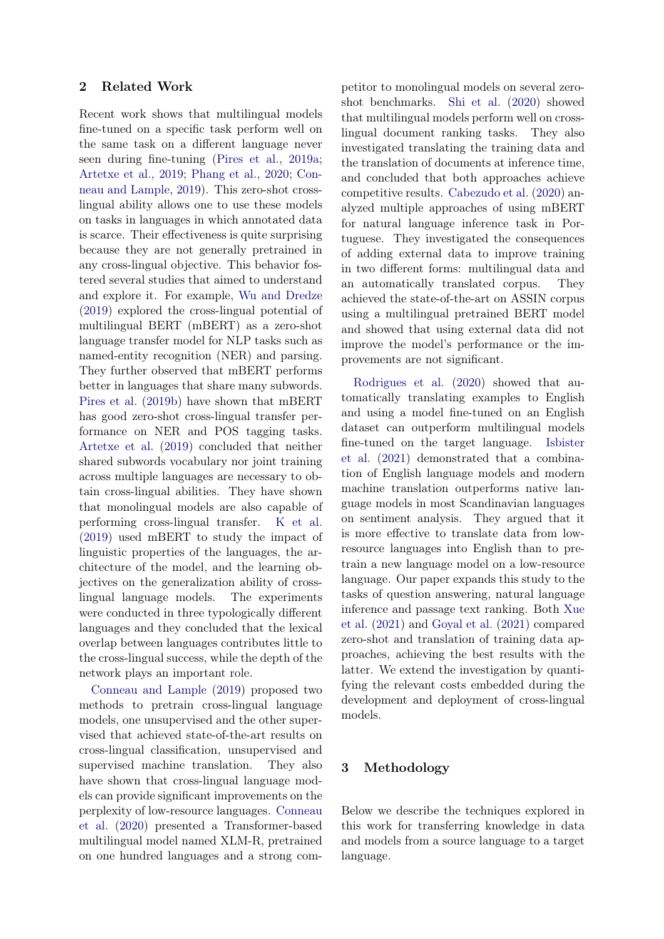### 2 Related Work

Recent work shows that multilingual models fine-tuned on a specific task perform well on the same task on a different language never seen during fine-tuning [\(Pires et al.,](#page-10-2) [2019a;](#page-10-2) [Artetxe et al.,](#page-9-3) [2019;](#page-9-3) [Phang et al.,](#page-10-3) [2020;](#page-10-3) [Con](#page-9-4)[neau and Lample,](#page-9-4) [2019\)](#page-9-4). This zero-shot crosslingual ability allows one to use these models on tasks in languages in which annotated data is scarce. Their effectiveness is quite surprising because they are not generally pretrained in any cross-lingual objective. This behavior fostered several studies that aimed to understand and explore it. For example, [Wu and Dredze](#page-11-0) [\(2019\)](#page-11-0) explored the cross-lingual potential of multilingual BERT (mBERT) as a zero-shot language transfer model for NLP tasks such as named-entity recognition (NER) and parsing. They further observed that mBERT performs better in languages that share many subwords. [Pires et al.](#page-10-4) [\(2019b\)](#page-10-4) have shown that mBERT has good zero-shot cross-lingual transfer performance on NER and POS tagging tasks. [Artetxe et al.](#page-9-3) [\(2019\)](#page-9-3) concluded that neither shared subwords vocabulary nor joint training across multiple languages are necessary to obtain cross-lingual abilities. They have shown that monolingual models are also capable of performing cross-lingual transfer. [K et al.](#page-10-5) [\(2019\)](#page-10-5) used mBERT to study the impact of linguistic properties of the languages, the architecture of the model, and the learning objectives on the generalization ability of crosslingual language models. The experiments were conducted in three typologically different languages and they concluded that the lexical overlap between languages contributes little to the cross-lingual success, while the depth of the network plays an important role.

[Conneau and Lample](#page-9-4) [\(2019\)](#page-9-4) proposed two methods to pretrain cross-lingual language models, one unsupervised and the other supervised that achieved state-of-the-art results on cross-lingual classification, unsupervised and supervised machine translation. They also have shown that cross-lingual language models can provide significant improvements on the perplexity of low-resource languages. [Conneau](#page-9-2) [et al.](#page-9-2) [\(2020\)](#page-9-2) presented a Transformer-based multilingual model named XLM-R, pretrained on one hundred languages and a strong competitor to monolingual models on several zeroshot benchmarks. [Shi et al.](#page-10-6) [\(2020\)](#page-10-6) showed that multilingual models perform well on crosslingual document ranking tasks. They also investigated translating the training data and the translation of documents at inference time, and concluded that both approaches achieve competitive results. [Cabezudo et al.](#page-9-5) [\(2020\)](#page-9-5) analyzed multiple approaches of using mBERT for natural language inference task in Portuguese. They investigated the consequences of adding external data to improve training in two different forms: multilingual data and an automatically translated corpus. They achieved the state-of-the-art on ASSIN corpus using a multilingual pretrained BERT model and showed that using external data did not improve the model's performance or the improvements are not significant.

[Rodrigues et al.](#page-10-7) [\(2020\)](#page-10-7) showed that automatically translating examples to English and using a model fine-tuned on an English dataset can outperform multilingual models fine-tuned on the target language. [Isbister](#page-9-6) [et al.](#page-9-6) [\(2021\)](#page-9-6) demonstrated that a combination of English language models and modern machine translation outperforms native language models in most Scandinavian languages on sentiment analysis. They argued that it is more effective to translate data from lowresource languages into English than to pretrain a new language model on a low-resource language. Our paper expands this study to the tasks of question answering, natural language inference and passage text ranking. Both [Xue](#page-11-1) [et al.](#page-11-1) [\(2021\)](#page-11-1) and [Goyal et al.](#page-9-7) [\(2021\)](#page-9-7) compared zero-shot and translation of training data approaches, achieving the best results with the latter. We extend the investigation by quantifying the relevant costs embedded during the development and deployment of cross-lingual models.

### 3 Methodology

Below we describe the techniques explored in this work for transferring knowledge in data and models from a source language to a target language.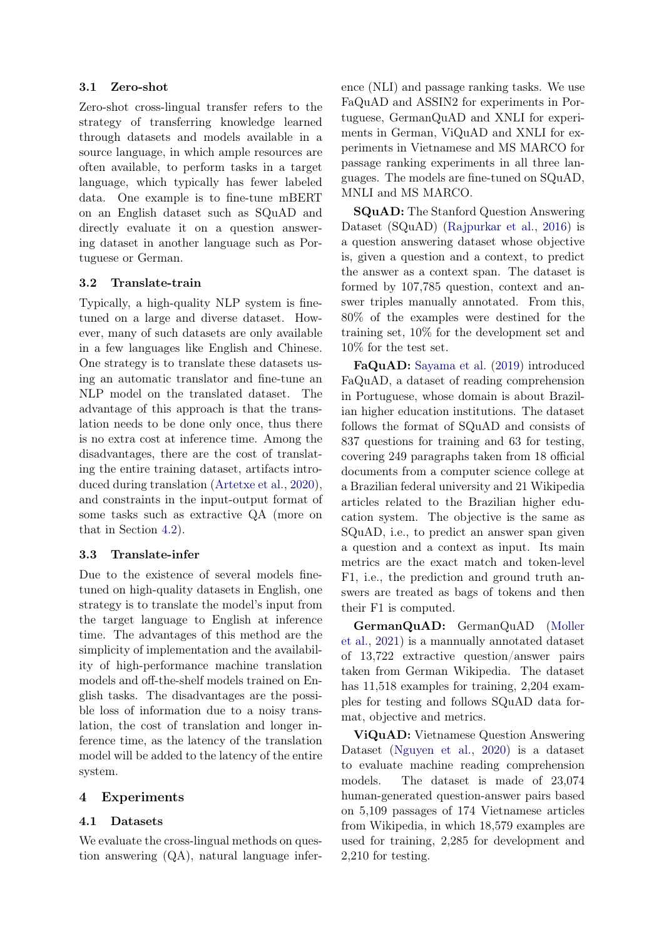## 3.1 Zero-shot

Zero-shot cross-lingual transfer refers to the strategy of transferring knowledge learned through datasets and models available in a source language, in which ample resources are often available, to perform tasks in a target language, which typically has fewer labeled data. One example is to fine-tune mBERT on an English dataset such as SQuAD and directly evaluate it on a question answering dataset in another language such as Portuguese or German.

## 3.2 Translate-train

Typically, a high-quality NLP system is finetuned on a large and diverse dataset. However, many of such datasets are only available in a few languages like English and Chinese. One strategy is to translate these datasets using an automatic translator and fine-tune an NLP model on the translated dataset. The advantage of this approach is that the translation needs to be done only once, thus there is no extra cost at inference time. Among the disadvantages, there are the cost of translating the entire training dataset, artifacts introduced during translation [\(Artetxe et al.,](#page-9-8) [2020\)](#page-9-8), and constraints in the input-output format of some tasks such as extractive QA (more on that in Section [4.2\)](#page-3-0).

# 3.3 Translate-infer

Due to the existence of several models finetuned on high-quality datasets in English, one strategy is to translate the model's input from the target language to English at inference time. The advantages of this method are the simplicity of implementation and the availability of high-performance machine translation models and off-the-shelf models trained on English tasks. The disadvantages are the possible loss of information due to a noisy translation, the cost of translation and longer inference time, as the latency of the translation model will be added to the latency of the entire system.

# 4 Experiments

# 4.1 Datasets

We evaluate the cross-lingual methods on question answering (QA), natural language inference (NLI) and passage ranking tasks. We use FaQuAD and ASSIN2 for experiments in Portuguese, GermanQuAD and XNLI for experiments in German, ViQuAD and XNLI for experiments in Vietnamese and MS MARCO for passage ranking experiments in all three languages. The models are fine-tuned on SQuAD, MNLI and MS MARCO.

SQuAD: The Stanford Question Answering Dataset (SQuAD) [\(Rajpurkar et al.,](#page-10-8) [2016\)](#page-10-8) is a question answering dataset whose objective is, given a question and a context, to predict the answer as a context span. The dataset is formed by 107,785 question, context and answer triples manually annotated. From this, 80% of the examples were destined for the training set, 10% for the development set and 10% for the test set.

FaQuAD: [Sayama et al.](#page-10-9) [\(2019\)](#page-10-9) introduced FaQuAD, a dataset of reading comprehension in Portuguese, whose domain is about Brazilian higher education institutions. The dataset follows the format of SQuAD and consists of 837 questions for training and 63 for testing, covering 249 paragraphs taken from 18 official documents from a computer science college at a Brazilian federal university and 21 Wikipedia articles related to the Brazilian higher education system. The objective is the same as SQuAD, i.e., to predict an answer span given a question and a context as input. Its main metrics are the exact match and token-level F1, i.e., the prediction and ground truth answers are treated as bags of tokens and then their F1 is computed.

GermanQuAD: GermanQuAD [\(Moller](#page-10-10) [et al.,](#page-10-10) [2021\)](#page-10-10) is a mannually annotated dataset of 13,722 extractive question/answer pairs taken from German Wikipedia. The dataset has 11,518 examples for training, 2,204 examples for testing and follows SQuAD data format, objective and metrics.

ViQuAD: Vietnamese Question Answering Dataset [\(Nguyen et al.,](#page-10-11) [2020\)](#page-10-11) is a dataset to evaluate machine reading comprehension models. The dataset is made of 23,074 human-generated question-answer pairs based on 5,109 passages of 174 Vietnamese articles from Wikipedia, in which 18,579 examples are used for training, 2,285 for development and 2,210 for testing.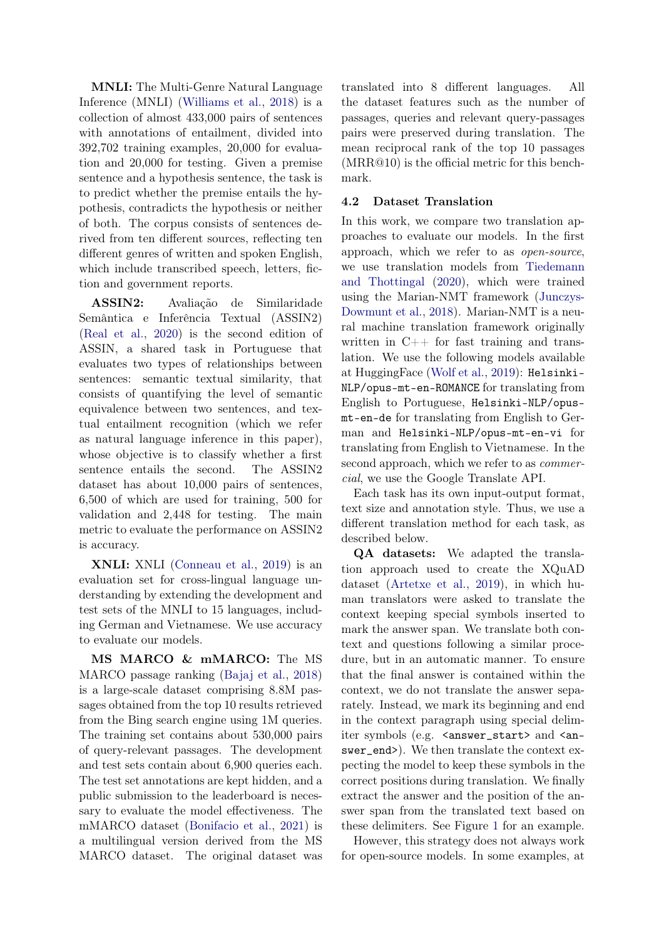MNLI: The Multi-Genre Natural Language Inference (MNLI) [\(Williams et al.,](#page-11-3) [2018\)](#page-11-3) is a collection of almost 433,000 pairs of sentences with annotations of entailment, divided into 392,702 training examples, 20,000 for evaluation and 20,000 for testing. Given a premise sentence and a hypothesis sentence, the task is to predict whether the premise entails the hypothesis, contradicts the hypothesis or neither of both. The corpus consists of sentences derived from ten different sources, reflecting ten different genres of written and spoken English, which include transcribed speech, letters, fiction and government reports.

ASSIN2: Avaliação de Similaridade Semântica e Inferência Textual (ASSIN2) [\(Real et al.,](#page-10-12) [2020\)](#page-10-12) is the second edition of ASSIN, a shared task in Portuguese that evaluates two types of relationships between sentences: semantic textual similarity, that consists of quantifying the level of semantic equivalence between two sentences, and textual entailment recognition (which we refer as natural language inference in this paper), whose objective is to classify whether a first sentence entails the second. The ASSIN2 dataset has about 10,000 pairs of sentences, 6,500 of which are used for training, 500 for validation and 2,448 for testing. The main metric to evaluate the performance on ASSIN2 is accuracy.

XNLI: XNLI [\(Conneau et al.,](#page-9-9) [2019\)](#page-9-9) is an evaluation set for cross-lingual language understanding by extending the development and test sets of the MNLI to 15 languages, including German and Vietnamese. We use accuracy to evaluate our models.

MS MARCO & mMARCO: The MS MARCO passage ranking [\(Bajaj et al.,](#page-9-10) [2018\)](#page-9-10) is a large-scale dataset comprising 8.8M passages obtained from the top 10 results retrieved from the Bing search engine using 1M queries. The training set contains about 530,000 pairs of query-relevant passages. The development and test sets contain about 6,900 queries each. The test set annotations are kept hidden, and a public submission to the leaderboard is necessary to evaluate the model effectiveness. The mMARCO dataset [\(Bonifacio et al.,](#page-9-11) [2021\)](#page-9-11) is a multilingual version derived from the MS MARCO dataset. The original dataset was

translated into 8 different languages. All the dataset features such as the number of passages, queries and relevant query-passages pairs were preserved during translation. The mean reciprocal rank of the top 10 passages (MRR@10) is the official metric for this benchmark.

#### <span id="page-3-0"></span>4.2 Dataset Translation

In this work, we compare two translation approaches to evaluate our models. In the first approach, which we refer to as open-source, we use translation models from [Tiedemann](#page-10-13) [and Thottingal](#page-10-13) [\(2020\)](#page-10-13), which were trained using the Marian-NMT framework [\(Junczys-](#page-9-12)[Dowmunt et al.,](#page-9-12) [2018\)](#page-9-12). Marian-NMT is a neural machine translation framework originally written in  $C++$  for fast training and translation. We use the following models available at HuggingFace [\(Wolf et al.,](#page-11-4) [2019\)](#page-11-4): Helsinki-NLP/opus-mt-en-ROMANCE for translating from English to Portuguese, Helsinki-NLP/opusmt-en-de for translating from English to German and Helsinki-NLP/opus-mt-en-vi for translating from English to Vietnamese. In the second approach, which we refer to as commercial, we use the Google Translate API.

Each task has its own input-output format, text size and annotation style. Thus, we use a different translation method for each task, as described below.

QA datasets: We adapted the translation approach used to create the XQuAD dataset [\(Artetxe et al.,](#page-9-3) [2019\)](#page-9-3), in which human translators were asked to translate the context keeping special symbols inserted to mark the answer span. We translate both context and questions following a similar procedure, but in an automatic manner. To ensure that the final answer is contained within the context, we do not translate the answer separately. Instead, we mark its beginning and end in the context paragraph using special delimiter symbols (e.g. <answer\_start> and <answer\_end>). We then translate the context expecting the model to keep these symbols in the correct positions during translation. We finally extract the answer and the position of the answer span from the translated text based on these delimiters. See Figure [1](#page-4-0) for an example.

However, this strategy does not always work for open-source models. In some examples, at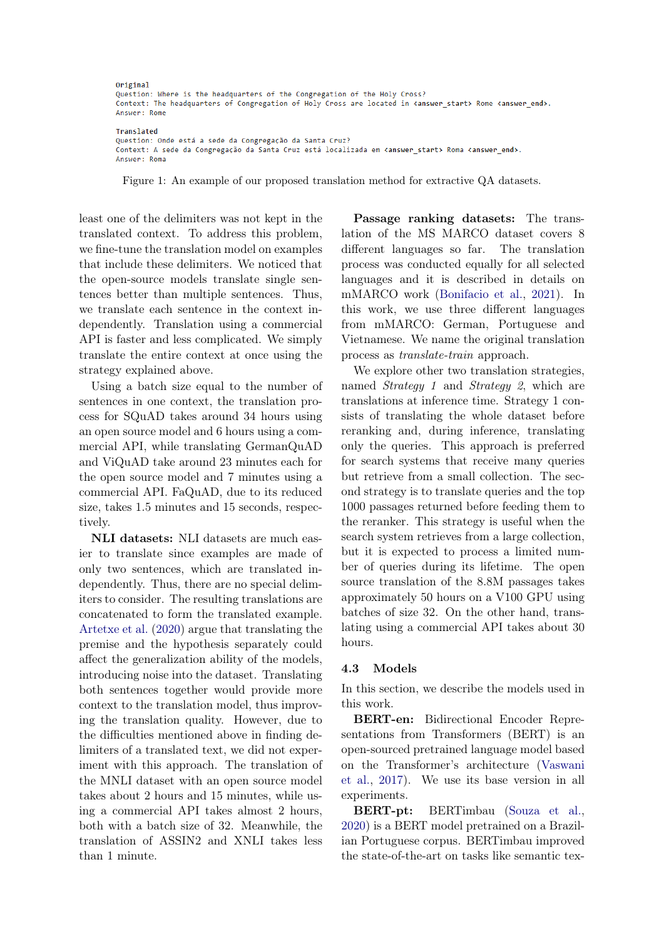<span id="page-4-0"></span>Original Question: Where is the headquarters of the Congregation of the Holy Cross? Context: The headquarters of Congregation of Holy Cross are located in canswer\_start> Rome <amswer\_end>. Answer: Rome

Translated Question: Onde está a sede da Congregação da Santa Cruz? Context: A sede da Congregação da Santa Cruz está localizada em <answer\_start> Roma <answer\_end>. Answer: Roma

Figure 1: An example of our proposed translation method for extractive QA datasets.

least one of the delimiters was not kept in the translated context. To address this problem, we fine-tune the translation model on examples that include these delimiters. We noticed that the open-source models translate single sentences better than multiple sentences. Thus, we translate each sentence in the context independently. Translation using a commercial API is faster and less complicated. We simply translate the entire context at once using the strategy explained above.

Using a batch size equal to the number of sentences in one context, the translation process for SQuAD takes around 34 hours using an open source model and 6 hours using a commercial API, while translating GermanQuAD and ViQuAD take around 23 minutes each for the open source model and 7 minutes using a commercial API. FaQuAD, due to its reduced size, takes 1.5 minutes and 15 seconds, respectively.

NLI datasets: NLI datasets are much easier to translate since examples are made of only two sentences, which are translated independently. Thus, there are no special delimiters to consider. The resulting translations are concatenated to form the translated example. [Artetxe et al.](#page-9-8) [\(2020\)](#page-9-8) argue that translating the premise and the hypothesis separately could affect the generalization ability of the models, introducing noise into the dataset. Translating both sentences together would provide more context to the translation model, thus improving the translation quality. However, due to the difficulties mentioned above in finding delimiters of a translated text, we did not experiment with this approach. The translation of the MNLI dataset with an open source model takes about 2 hours and 15 minutes, while using a commercial API takes almost 2 hours, both with a batch size of 32. Meanwhile, the translation of ASSIN2 and XNLI takes less than 1 minute.

Passage ranking datasets: The translation of the MS MARCO dataset covers 8 different languages so far. The translation process was conducted equally for all selected languages and it is described in details on mMARCO work [\(Bonifacio et al.,](#page-9-11) [2021\)](#page-9-11). In this work, we use three different languages from mMARCO: German, Portuguese and Vietnamese. We name the original translation process as translate-train approach.

We explore other two translation strategies, named *Strategy 1* and *Strategy 2*, which are translations at inference time. Strategy 1 consists of translating the whole dataset before reranking and, during inference, translating only the queries. This approach is preferred for search systems that receive many queries but retrieve from a small collection. The second strategy is to translate queries and the top 1000 passages returned before feeding them to the reranker. This strategy is useful when the search system retrieves from a large collection, but it is expected to process a limited number of queries during its lifetime. The open source translation of the 8.8M passages takes approximately 50 hours on a V100 GPU using batches of size 32. On the other hand, translating using a commercial API takes about 30 hours.

#### 4.3 Models

In this section, we describe the models used in this work.

BERT-en: Bidirectional Encoder Representations from Transformers (BERT) is an open-sourced pretrained language model based on the Transformer's architecture [\(Vaswani](#page-10-14) [et al.,](#page-10-14) [2017\)](#page-10-14). We use its base version in all experiments.

BERT-pt: BERTimbau [\(Souza et al.,](#page-10-15) [2020\)](#page-10-15) is a BERT model pretrained on a Brazilian Portuguese corpus. BERTimbau improved the state-of-the-art on tasks like semantic tex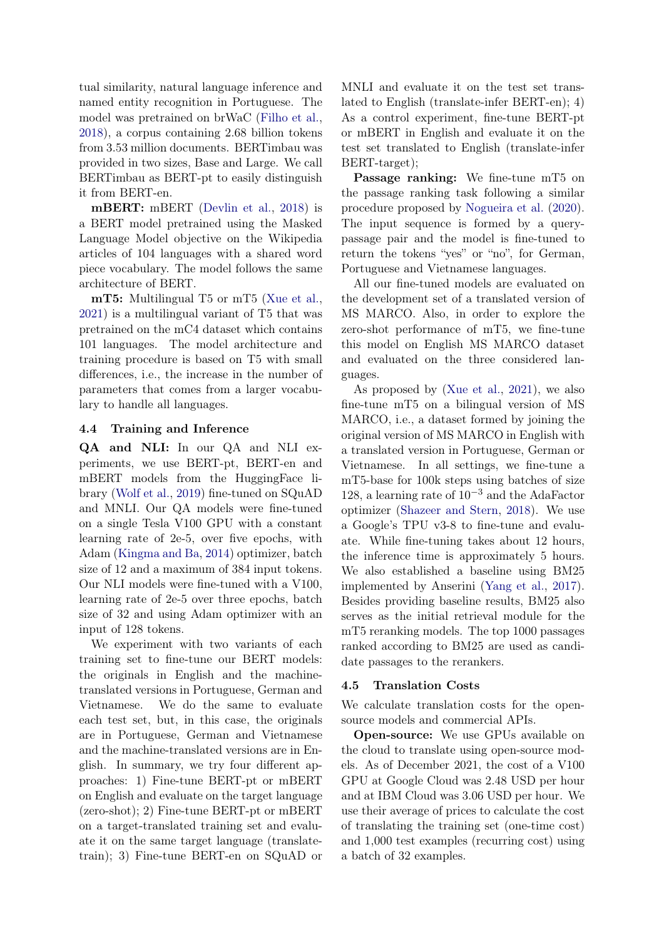tual similarity, natural language inference and named entity recognition in Portuguese. The model was pretrained on brWaC [\(Filho et al.,](#page-9-13) [2018\)](#page-9-13), a corpus containing 2.68 billion tokens from 3.53 million documents. BERTimbau was provided in two sizes, Base and Large. We call BERTimbau as BERT-pt to easily distinguish it from BERT-en.

mBERT: mBERT [\(Devlin et al.,](#page-9-14) [2018\)](#page-9-14) is a BERT model pretrained using the Masked Language Model objective on the Wikipedia articles of 104 languages with a shared word piece vocabulary. The model follows the same architecture of BERT.

mT5: Multilingual T5 or mT5 [\(Xue et al.,](#page-11-1) [2021\)](#page-11-1) is a multilingual variant of T5 that was pretrained on the mC4 dataset which contains 101 languages. The model architecture and training procedure is based on T5 with small differences, i.e., the increase in the number of parameters that comes from a larger vocabulary to handle all languages.

## 4.4 Training and Inference

QA and NLI: In our QA and NLI experiments, we use BERT-pt, BERT-en and mBERT models from the HuggingFace library [\(Wolf et al.,](#page-11-4) [2019\)](#page-11-4) fine-tuned on SQuAD and MNLI. Our QA models were fine-tuned on a single Tesla V100 GPU with a constant learning rate of 2e-5, over five epochs, with Adam [\(Kingma and Ba,](#page-10-16) [2014\)](#page-10-16) optimizer, batch size of 12 and a maximum of 384 input tokens. Our NLI models were fine-tuned with a V100, learning rate of 2e-5 over three epochs, batch size of 32 and using Adam optimizer with an input of 128 tokens.

We experiment with two variants of each training set to fine-tune our BERT models: the originals in English and the machinetranslated versions in Portuguese, German and Vietnamese. We do the same to evaluate each test set, but, in this case, the originals are in Portuguese, German and Vietnamese and the machine-translated versions are in English. In summary, we try four different approaches: 1) Fine-tune BERT-pt or mBERT on English and evaluate on the target language (zero-shot); 2) Fine-tune BERT-pt or mBERT on a target-translated training set and evaluate it on the same target language (translatetrain); 3) Fine-tune BERT-en on SQuAD or

MNLI and evaluate it on the test set translated to English (translate-infer BERT-en); 4) As a control experiment, fine-tune BERT-pt or mBERT in English and evaluate it on the test set translated to English (translate-infer BERT-target);

Passage ranking: We fine-tune mT5 on the passage ranking task following a similar procedure proposed by [Nogueira et al.](#page-10-17) [\(2020\)](#page-10-17). The input sequence is formed by a querypassage pair and the model is fine-tuned to return the tokens "yes" or "no", for German, Portuguese and Vietnamese languages.

All our fine-tuned models are evaluated on the development set of a translated version of MS MARCO. Also, in order to explore the zero-shot performance of mT5, we fine-tune this model on English MS MARCO dataset and evaluated on the three considered languages.

As proposed by [\(Xue et al.,](#page-11-1) [2021\)](#page-11-1), we also fine-tune mT5 on a bilingual version of MS MARCO, i.e., a dataset formed by joining the original version of MS MARCO in English with a translated version in Portuguese, German or Vietnamese. In all settings, we fine-tune a mT5-base for 100k steps using batches of size 128, a learning rate of 10−<sup>3</sup> and the AdaFactor optimizer [\(Shazeer and Stern,](#page-10-18) [2018\)](#page-10-18). We use a Google's TPU v3-8 to fine-tune and evaluate. While fine-tuning takes about 12 hours, the inference time is approximately 5 hours. We also established a baseline using BM25 implemented by Anserini [\(Yang et al.,](#page-11-5) [2017\)](#page-11-5). Besides providing baseline results, BM25 also serves as the initial retrieval module for the mT5 reranking models. The top 1000 passages ranked according to BM25 are used as candidate passages to the rerankers.

## 4.5 Translation Costs

We calculate translation costs for the opensource models and commercial APIs.

Open-source: We use GPUs available on the cloud to translate using open-source models. As of December 2021, the cost of a V100 GPU at Google Cloud was 2.48 USD per hour and at IBM Cloud was 3.06 USD per hour. We use their average of prices to calculate the cost of translating the training set (one-time cost) and 1,000 test examples (recurring cost) using a batch of 32 examples.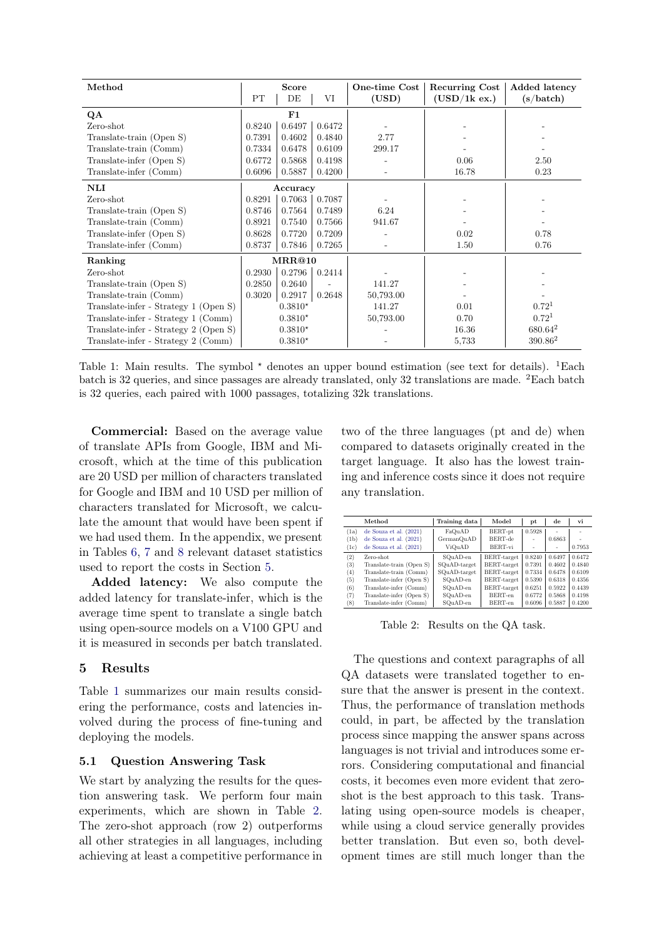<span id="page-6-1"></span>

| Method                                | Score<br>PT<br>DE<br>VI |            | One-time Cost<br>(USD) | <b>Recurring Cost</b><br>(USD/1k ex.) | Added latency<br>$\left( \mathrm{s}/\mathrm{batch}\right)$ |                   |
|---------------------------------------|-------------------------|------------|------------------------|---------------------------------------|------------------------------------------------------------|-------------------|
|                                       |                         |            |                        |                                       |                                                            |                   |
| QA                                    |                         | ${\bf F1}$ |                        |                                       |                                                            |                   |
| Zero-shot                             | 0.8240                  | 0.6497     | 0.6472                 |                                       |                                                            |                   |
| Translate-train (Open S)              | 0.7391                  | 0.4602     | 0.4840                 | 2.77                                  |                                                            |                   |
| Translate-train (Comm)                | 0.7334                  | 0.6478     | 0.6109                 | 299.17                                |                                                            |                   |
| Translate-infer (Open S)              | 0.6772                  | 0.5868     | 0.4198                 |                                       | 0.06                                                       | 2.50              |
| Translate-infer (Comm)                | 0.6096                  | 0.5887     | 0.4200                 |                                       | 16.78                                                      | 0.23              |
| $\mathbf{N}\mathbf{L}\mathbf{I}$      |                         | Accuracy   |                        |                                       |                                                            |                   |
| Zero-shot                             | 0.8291                  | 0.7063     | 0.7087                 |                                       |                                                            |                   |
| Translate-train (Open S)              | 0.8746                  | 0.7564     | 0.7489                 | 6.24                                  |                                                            |                   |
| Translate-train (Comm)                | 0.8921                  | 0.7540     | 0.7566                 | 941.67                                |                                                            |                   |
| Translate-infer (Open S)              | 0.8628                  | 0.7720     | 0.7209                 |                                       | 0.02                                                       | 0.78              |
| Translate-infer (Comm)                | 0.8737                  | 0.7846     | 0.7265                 |                                       | 1.50                                                       | 0.76              |
| Ranking                               |                         | MRR@10     |                        |                                       |                                                            |                   |
| Zero-shot                             | 0.2930                  | 0.2796     | 0.2414                 |                                       |                                                            |                   |
| Translate-train (Open S)              | 0.2850                  | 0.2640     |                        | 141.27                                |                                                            |                   |
| Translate-train (Comm)                | 0.3020                  | 0.2917     | 0.2648                 | 50,793.00                             |                                                            |                   |
| Translate-infer - Strategy 1 (Open S) |                         | $0.3810*$  |                        | 141.27                                | 0.01                                                       | 0.72 <sup>1</sup> |
| Translate-infer - Strategy 1 (Comm)   |                         | $0.3810*$  |                        | 50,793.00                             | 0.70                                                       | $0.72^{1}$        |
| Translate-infer - Strategy 2 (Open S) |                         | $0.3810*$  |                        |                                       | 16.36                                                      | $680.64^2$        |
| Translate-infer - Strategy 2 (Comm)   |                         | $0.3810*$  |                        |                                       | 5,733                                                      | $390.86^2$        |

Table 1: Main results. The symbol  $\star$  denotes an upper bound estimation (see text for details). <sup>1</sup>Each batch is 32 queries, and since passages are already translated, only 32 translations are made. <sup>2</sup>Each batch is 32 queries, each paired with 1000 passages, totalizing 32k translations.

Commercial: Based on the average value of translate APIs from Google, IBM and Microsoft, which at the time of this publication are 20 USD per million of characters translated for Google and IBM and 10 USD per million of characters translated for Microsoft, we calculate the amount that would have been spent if we had used them. In the appendix, we present in Tables [6,](#page-12-0) [7](#page-12-1) and [8](#page-12-2) relevant dataset statistics used to report the costs in Section [5.](#page-6-0)

Added latency: We also compute the added latency for translate-infer, which is the average time spent to translate a single batch using open-source models on a V100 GPU and it is measured in seconds per batch translated.

#### <span id="page-6-0"></span>5 Results

Table [1](#page-6-1) summarizes our main results considering the performance, costs and latencies involved during the process of fine-tuning and deploying the models.

### 5.1 Question Answering Task

We start by analyzing the results for the question answering task. We perform four main experiments, which are shown in Table [2.](#page-6-2) The zero-shot approach (row 2) outperforms all other strategies in all languages, including achieving at least a competitive performance in two of the three languages (pt and de) when compared to datasets originally created in the target language. It also has the lowest training and inference costs since it does not require any translation.

<span id="page-6-2"></span>

|                   | Method                   | Training data | Model       | рt                       | de     | vi     |
|-------------------|--------------------------|---------------|-------------|--------------------------|--------|--------|
| (1a)              | de Souza et al. (2021)   | FaQuAD        | BERT-pt     | 0.5928                   |        | ۰      |
| (1 <sub>b</sub> ) | de Souza et al. (2021)   | GermanQuAD    | BERT-de     | ۰                        | 0.6863 |        |
| (1c)              | de Souza et al. (2021)   | ViQuAD        | BERT-vi     | $\overline{\phantom{a}}$ | ٠      | 0.7953 |
| (2)               | Zero-shot.               | SQuAD-en      | BERT-target | 0.8240                   | 0.6497 | 0.6472 |
| (3)               | Translate-train (Open S) | SQuAD-target  | BERT-target | 0.7391                   | 0.4602 | 0.4840 |
| (4)               | Translate-train (Comm)   | SQuAD-target  | BERT-target | 0.7334                   | 0.6478 | 0.6109 |
| (5)               | Translate-infer (Open S) | SOuAD-en      | BERT-target | 0.5390                   | 0.6318 | 0.4356 |
| (6)               | Translate-infer (Comm)   | SQuAD-en      | BERT-target | 0.6251                   | 0.5922 | 0.4439 |
| (7)               | Translate-infer (Open S) | SQuAD-en      | BERT-en     | 0.6772                   | 0.5868 | 0.4198 |
| $^{(8)}$          | Translate-infer (Comm)   | SQuAD-en      | BERT-en     | 0.6096                   | 0.5887 | 0.4200 |

Table 2: Results on the QA task.

The questions and context paragraphs of all QA datasets were translated together to ensure that the answer is present in the context. Thus, the performance of translation methods could, in part, be affected by the translation process since mapping the answer spans across languages is not trivial and introduces some errors. Considering computational and financial costs, it becomes even more evident that zeroshot is the best approach to this task. Translating using open-source models is cheaper, while using a cloud service generally provides better translation. But even so, both development times are still much longer than the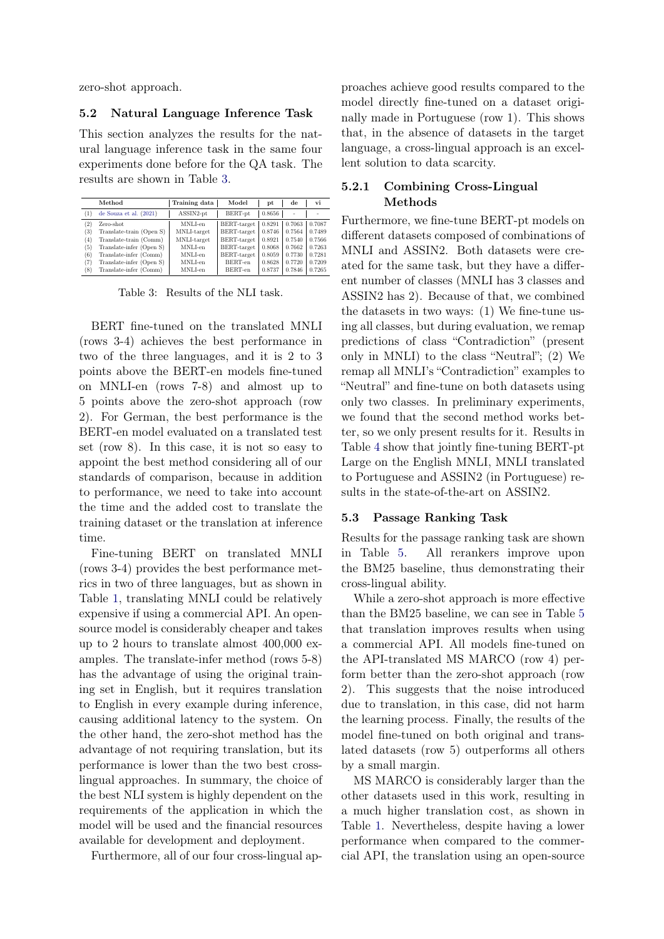zero-shot approach.

#### 5.2 Natural Language Inference Task

This section analyzes the results for the natural language inference task in the same four experiments done before for the QA task. The results are shown in Table [3.](#page-7-0)

<span id="page-7-0"></span>

|     | Method                   | Training data | Model       | pt     | de     | vi     |
|-----|--------------------------|---------------|-------------|--------|--------|--------|
| (1) | de Souza et al. (2021)   | ASSIN2-pt     | BERT-pt     | 0.8656 | ٠      |        |
| (2) | Zero-shot                | MNLI-en       | BERT-target | 0.8291 | 0.7063 | 0.7087 |
| (3) | Translate-train (Open S) | MNLI-target   | BERT-target | 0.8746 | 0.7564 | 0.7489 |
| (4) | Translate-train (Comm)   | MNLI-target   | BERT-target | 0.8921 | 0.7540 | 0.7566 |
| (5) | Translate-infer (Open S) | MNLI-en       | BERT-target | 0.8068 | 0.7662 | 0.7263 |
| (6) | Translate-infer (Comm)   | MNLI-en       | BERT-target | 0.8059 | 0.7730 | 0.7281 |
| (7) | Translate-infer (Open S) | MNLI-en       | BERT-en     | 0.8628 | 0.7720 | 0.7209 |
| (8) | Translate-infer (Comm)   | MNLI-en       | BERT-en     | 0.8737 | 0.7846 | 0.7265 |

Table 3: Results of the NLI task.

BERT fine-tuned on the translated MNLI (rows 3-4) achieves the best performance in two of the three languages, and it is 2 to 3 points above the BERT-en models fine-tuned on MNLI-en (rows 7-8) and almost up to 5 points above the zero-shot approach (row 2). For German, the best performance is the BERT-en model evaluated on a translated test set (row 8). In this case, it is not so easy to appoint the best method considering all of our standards of comparison, because in addition to performance, we need to take into account the time and the added cost to translate the training dataset or the translation at inference time.

Fine-tuning BERT on translated MNLI (rows 3-4) provides the best performance metrics in two of three languages, but as shown in Table [1,](#page-6-1) translating MNLI could be relatively expensive if using a commercial API. An opensource model is considerably cheaper and takes up to 2 hours to translate almost 400,000 examples. The translate-infer method (rows 5-8) has the advantage of using the original training set in English, but it requires translation to English in every example during inference, causing additional latency to the system. On the other hand, the zero-shot method has the advantage of not requiring translation, but its performance is lower than the two best crosslingual approaches. In summary, the choice of the best NLI system is highly dependent on the requirements of the application in which the model will be used and the financial resources available for development and deployment.

Furthermore, all of our four cross-lingual ap-

proaches achieve good results compared to the model directly fine-tuned on a dataset originally made in Portuguese (row 1). This shows that, in the absence of datasets in the target language, a cross-lingual approach is an excellent solution to data scarcity.

## 5.2.1 Combining Cross-Lingual Methods

Furthermore, we fine-tune BERT-pt models on different datasets composed of combinations of MNLI and ASSIN2. Both datasets were created for the same task, but they have a different number of classes (MNLI has 3 classes and ASSIN2 has 2). Because of that, we combined the datasets in two ways: (1) We fine-tune using all classes, but during evaluation, we remap predictions of class "Contradiction" (present only in MNLI) to the class "Neutral"; (2) We remap all MNLI's "Contradiction" examples to "Neutral" and fine-tune on both datasets using only two classes. In preliminary experiments, we found that the second method works better, so we only present results for it. Results in Table [4](#page-8-0) show that jointly fine-tuning BERT-pt Large on the English MNLI, MNLI translated to Portuguese and ASSIN2 (in Portuguese) results in the state-of-the-art on ASSIN2.

### 5.3 Passage Ranking Task

Results for the passage ranking task are shown in Table [5.](#page-8-1) All rerankers improve upon the BM25 baseline, thus demonstrating their cross-lingual ability.

While a zero-shot approach is more effective than the BM25 baseline, we can see in Table [5](#page-8-1) that translation improves results when using a commercial API. All models fine-tuned on the API-translated MS MARCO (row 4) perform better than the zero-shot approach (row 2). This suggests that the noise introduced due to translation, in this case, did not harm the learning process. Finally, the results of the model fine-tuned on both original and translated datasets (row 5) outperforms all others by a small margin.

MS MARCO is considerably larger than the other datasets used in this work, resulting in a much higher translation cost, as shown in Table [1.](#page-6-1) Nevertheless, despite having a lower performance when compared to the commercial API, the translation using an open-source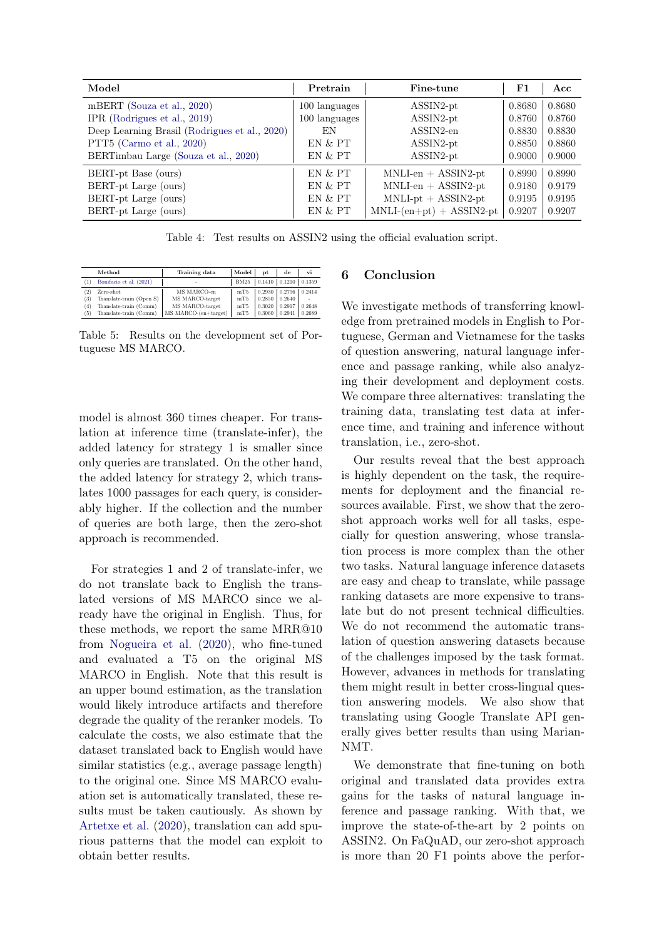<span id="page-8-0"></span>

| Model                                         | Pretrain      | Fine-tune                  | F1     | Acc    |
|-----------------------------------------------|---------------|----------------------------|--------|--------|
| mBERT (Souza et al., 2020)                    | 100 languages | $ASSIN2$ -pt               | 0.8680 | 0.8680 |
| IPR (Rodrigues et al., 2019)                  | 100 languages | $ASSIN2$ -pt               | 0.8760 | 0.8760 |
| Deep Learning Brasil (Rodrigues et al., 2020) | EN            | ASSIN2-en                  | 0.8830 | 0.8830 |
| PTT5 (Carmo et al., 2020)                     | EN & PT       | $ASSIN2$ -pt               | 0.8850 | 0.8860 |
| BERTimbau Large (Souza et al., 2020)          | EN & PT       | $ASSIN2$ -pt               | 0.9000 | 0.9000 |
| BERT-pt Base (ours)                           | EN & PT       | $MNLI-en + ASSIN2-pt$      | 0.8990 | 0.8990 |
| BERT-pt Large (ours)                          | EN & PT       | $MNLI-en + ASSIN2-pt$      | 0.9180 | 0.9179 |
| BERT-pt Large (ours)                          | EN & PT       | $MNLI$ -pt + ASSIN2-pt     | 0.9195 | 0.9195 |
| BERT-pt Large (ours)                          | EN & PT       | $MNLI-(en+pt) + ASSIN2-pt$ | 0.9207 | 0.9207 |

Table 4: Test results on ASSIN2 using the official evaluation script.

<span id="page-8-1"></span>

|        | Method                   | Training data        | Model       | pt     | de                         | vi     |
|--------|--------------------------|----------------------|-------------|--------|----------------------------|--------|
|        | Bonifacio et al. (2021)  | ٠                    | <b>BM25</b> |        | $0.1410$ $0.1210$ $0.1359$ |        |
| $^{2}$ | Zero-shot                | MS MARCO-en          | mT5         | 0.2930 | 0.2796                     | 0.2414 |
| (3)    | Translate-train (Open S) | MS MARCO-target      | mT5         | 0.2850 | 0.2640                     | ٠      |
| (4)    | Translate-train (Comm)   | MS MARCO-target      | mT5         | 0.3020 | 0.2917                     | 0.2648 |
| (5)    | Translate-train (Comm)   | MS MARCO-(en+target) | mT5         | 0.3060 | 0.2941                     | 0.2689 |

Table 5: Results on the development set of Portuguese MS MARCO.

model is almost 360 times cheaper. For translation at inference time (translate-infer), the added latency for strategy 1 is smaller since only queries are translated. On the other hand, the added latency for strategy 2, which translates 1000 passages for each query, is considerably higher. If the collection and the number of queries are both large, then the zero-shot approach is recommended.

For strategies 1 and 2 of translate-infer, we do not translate back to English the translated versions of MS MARCO since we already have the original in English. Thus, for these methods, we report the same MRR@10 from [Nogueira et al.](#page-10-17) [\(2020\)](#page-10-17), who fine-tuned and evaluated a T5 on the original MS MARCO in English. Note that this result is an upper bound estimation, as the translation would likely introduce artifacts and therefore degrade the quality of the reranker models. To calculate the costs, we also estimate that the dataset translated back to English would have similar statistics (e.g., average passage length) to the original one. Since MS MARCO evaluation set is automatically translated, these results must be taken cautiously. As shown by [Artetxe et al.](#page-9-8) [\(2020\)](#page-9-8), translation can add spurious patterns that the model can exploit to obtain better results.

# 6 Conclusion

We investigate methods of transferring knowledge from pretrained models in English to Portuguese, German and Vietnamese for the tasks of question answering, natural language inference and passage ranking, while also analyzing their development and deployment costs. We compare three alternatives: translating the training data, translating test data at inference time, and training and inference without translation, i.e., zero-shot.

Our results reveal that the best approach is highly dependent on the task, the requirements for deployment and the financial resources available. First, we show that the zeroshot approach works well for all tasks, especially for question answering, whose translation process is more complex than the other two tasks. Natural language inference datasets are easy and cheap to translate, while passage ranking datasets are more expensive to translate but do not present technical difficulties. We do not recommend the automatic translation of question answering datasets because of the challenges imposed by the task format. However, advances in methods for translating them might result in better cross-lingual question answering models. We also show that translating using Google Translate API generally gives better results than using Marian-NMT.

We demonstrate that fine-tuning on both original and translated data provides extra gains for the tasks of natural language inference and passage ranking. With that, we improve the state-of-the-art by 2 points on ASSIN2. On FaQuAD, our zero-shot approach is more than 20 F1 points above the perfor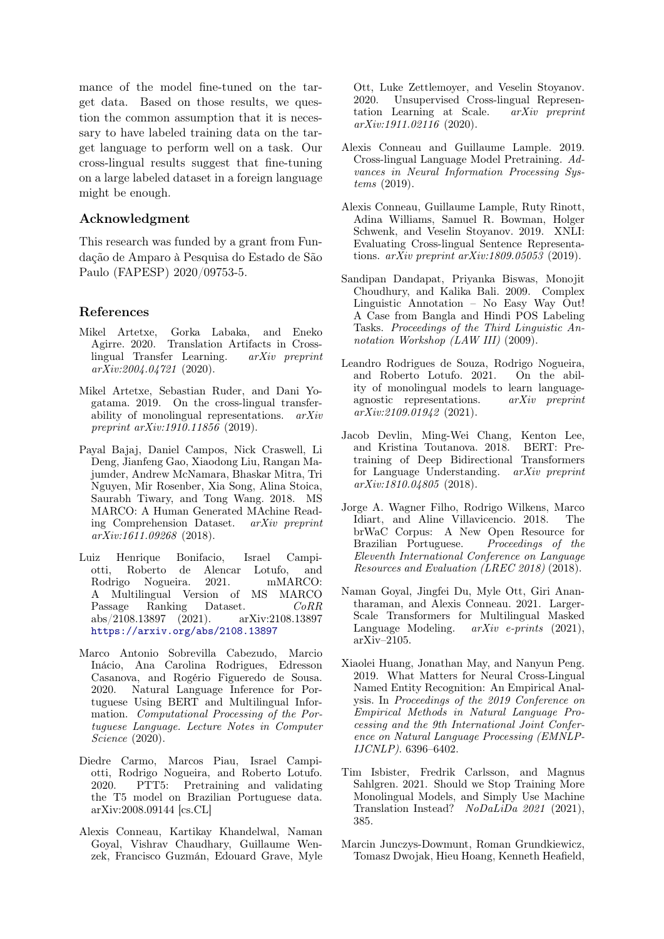mance of the model fine-tuned on the target data. Based on those results, we question the common assumption that it is necessary to have labeled training data on the target language to perform well on a task. Our cross-lingual results suggest that fine-tuning on a large labeled dataset in a foreign language might be enough.

### Acknowledgment

This research was funded by a grant from Fundação de Amparo à Pesquisa do Estado de São Paulo (FAPESP) 2020/09753-5.

### References

- <span id="page-9-8"></span>Mikel Artetxe, Gorka Labaka, and Eneko Agirre. 2020. Translation Artifacts in Crosslingual Transfer Learning. arXiv preprint arXiv:2004.04721 (2020).
- <span id="page-9-3"></span>Mikel Artetxe, Sebastian Ruder, and Dani Yogatama. 2019. On the cross-lingual transferability of monolingual representations. arXiv preprint arXiv:1910.11856 (2019).
- <span id="page-9-10"></span>Payal Bajaj, Daniel Campos, Nick Craswell, Li Deng, Jianfeng Gao, Xiaodong Liu, Rangan Majumder, Andrew McNamara, Bhaskar Mitra, Tri Nguyen, Mir Rosenber, Xia Song, Alina Stoica, Saurabh Tiwary, and Tong Wang. 2018. MS MARCO: A Human Generated MAchine Reading Comprehension Dataset. arXiv preprint arXiv:1611.09268 (2018).
- <span id="page-9-11"></span>Luiz Henrique Bonifacio, Israel Campiotti, Roberto de Alencar Lotufo, and Rodrigo Nogueira. 2021. mMARCO: A Multilingual Version of MS MARCO Passage Ranking Dataset.  $CoRR$ abs/2108.13897 (2021). arXiv:2108.13897 <https://arxiv.org/abs/2108.13897>
- <span id="page-9-5"></span>Marco Antonio Sobrevilla Cabezudo, Marcio Inácio, Ana Carolina Rodrigues, Edresson Casanova, and Rogério Figueredo de Sousa. 2020. Natural Language Inference for Portuguese Using BERT and Multilingual Information. Computational Processing of the Portuguese Language. Lecture Notes in Computer Science (2020).
- <span id="page-9-16"></span>Diedre Carmo, Marcos Piau, Israel Campiotti, Rodrigo Nogueira, and Roberto Lotufo. 2020. PTT5: Pretraining and validating the T5 model on Brazilian Portuguese data. arXiv:2008.09144 [cs.CL]
- <span id="page-9-2"></span>Alexis Conneau, Kartikay Khandelwal, Naman Goyal, Vishrav Chaudhary, Guillaume Wenzek, Francisco Guzmán, Edouard Grave, Myle

Ott, Luke Zettlemoyer, and Veselin Stoyanov. 2020. Unsupervised Cross-lingual Representation Learning at Scale. arXiv preprint arXiv:1911.02116 (2020).

- <span id="page-9-4"></span>Alexis Conneau and Guillaume Lample. 2019. Cross-lingual Language Model Pretraining. Advances in Neural Information Processing Systems (2019).
- <span id="page-9-9"></span>Alexis Conneau, Guillaume Lample, Ruty Rinott, Adina Williams, Samuel R. Bowman, Holger Schwenk, and Veselin Stoyanov. 2019. XNLI: Evaluating Cross-lingual Sentence Representations. arXiv preprint arXiv:1809.05053 (2019).
- <span id="page-9-1"></span>Sandipan Dandapat, Priyanka Biswas, Monojit Choudhury, and Kalika Bali. 2009. Complex Linguistic Annotation – No Easy Way Out! A Case from Bangla and Hindi POS Labeling Tasks. Proceedings of the Third Linguistic Annotation Workshop (LAW III) (2009).
- <span id="page-9-15"></span>Leandro Rodrigues de Souza, Rodrigo Nogueira, and Roberto Lotufo. 2021. On the ability of monolingual models to learn languageagnostic representations. arXiv preprint arXiv:2109.01942 (2021).
- <span id="page-9-14"></span>Jacob Devlin, Ming-Wei Chang, Kenton Lee, and Kristina Toutanova. 2018. BERT: Pretraining of Deep Bidirectional Transformers for Language Understanding. arXiv preprint arXiv:1810.04805 (2018).
- <span id="page-9-13"></span>Jorge A. Wagner Filho, Rodrigo Wilkens, Marco Idiart, and Aline Villavicencio. 2018. The brWaC Corpus: A New Open Resource for Brazilian Portuguese. Proceedings of the Eleventh International Conference on Language Resources and Evaluation (LREC 2018) (2018).
- <span id="page-9-7"></span>Naman Goyal, Jingfei Du, Myle Ott, Giri Anantharaman, and Alexis Conneau. 2021. Larger-Scale Transformers for Multilingual Masked Language Modeling.  $arXiv$  e-prints  $(2021)$ , arXiv–2105.
- <span id="page-9-0"></span>Xiaolei Huang, Jonathan May, and Nanyun Peng. 2019. What Matters for Neural Cross-Lingual Named Entity Recognition: An Empirical Analysis. In Proceedings of the 2019 Conference on Empirical Methods in Natural Language Processing and the 9th International Joint Conference on Natural Language Processing (EMNLP-IJCNLP). 6396–6402.
- <span id="page-9-6"></span>Tim Isbister, Fredrik Carlsson, and Magnus Sahlgren. 2021. Should we Stop Training More Monolingual Models, and Simply Use Machine Translation Instead? NoDaLiDa 2021 (2021), 385.
- <span id="page-9-12"></span>Marcin Junczys-Dowmunt, Roman Grundkiewicz, Tomasz Dwojak, Hieu Hoang, Kenneth Heafield,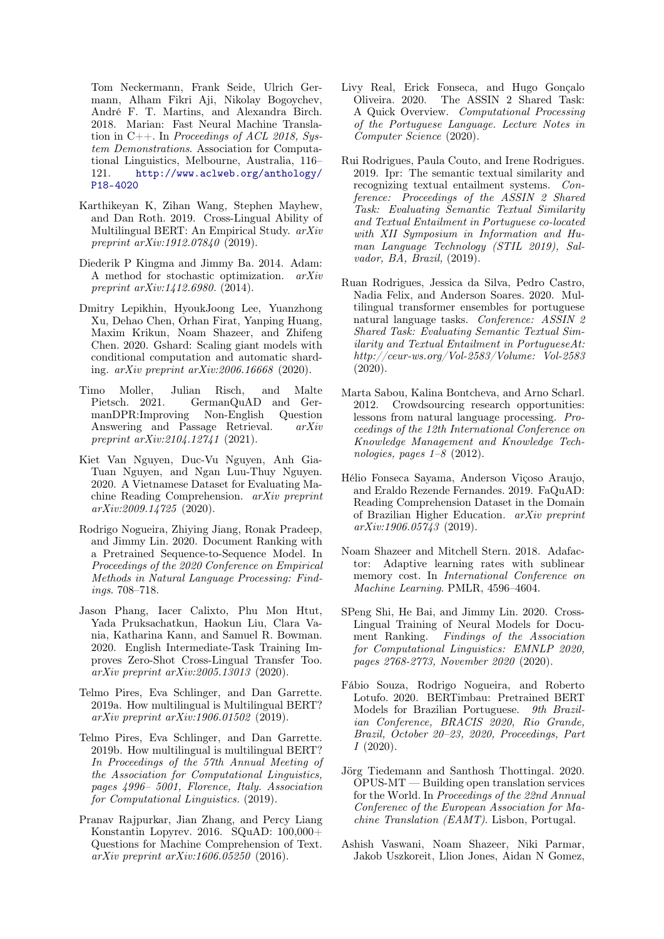Tom Neckermann, Frank Seide, Ulrich Germann, Alham Fikri Aji, Nikolay Bogoychev, André F. T. Martins, and Alexandra Birch. 2018. Marian: Fast Neural Machine Translation in C++. In Proceedings of ACL 2018, System Demonstrations. Association for Computational Linguistics, Melbourne, Australia, 116– 121. [http://www.aclweb.org/anthology/](http://www.aclweb.org/anthology/P18-4020) [P18-4020](http://www.aclweb.org/anthology/P18-4020)

- <span id="page-10-5"></span>Karthikeyan K, Zihan Wang, Stephen Mayhew, and Dan Roth. 2019. Cross-Lingual Ability of Multilingual BERT: An Empirical Study. arXiv preprint arXiv:1912.07840 (2019).
- <span id="page-10-16"></span>Diederik P Kingma and Jimmy Ba. 2014. Adam: A method for stochastic optimization. arXiv preprint  $arXiv:1412.6980.$  (2014).
- <span id="page-10-1"></span>Dmitry Lepikhin, HyoukJoong Lee, Yuanzhong Xu, Dehao Chen, Orhan Firat, Yanping Huang, Maxim Krikun, Noam Shazeer, and Zhifeng Chen. 2020. Gshard: Scaling giant models with conditional computation and automatic sharding. arXiv preprint arXiv:2006.16668 (2020).
- <span id="page-10-10"></span>Timo Moller, Julian Risch, and Malte Pietsch. 2021. GermanQuAD and GermanDPR:Improving Non-English Question Answering and Passage Retrieval. arXiv preprint arXiv:2104.12741 (2021).
- <span id="page-10-11"></span>Kiet Van Nguyen, Duc-Vu Nguyen, Anh Gia-Tuan Nguyen, and Ngan Luu-Thuy Nguyen. 2020. A Vietnamese Dataset for Evaluating Machine Reading Comprehension. arXiv preprint arXiv:2009.14725 (2020).
- <span id="page-10-17"></span>Rodrigo Nogueira, Zhiying Jiang, Ronak Pradeep, and Jimmy Lin. 2020. Document Ranking with a Pretrained Sequence-to-Sequence Model. In Proceedings of the 2020 Conference on Empirical Methods in Natural Language Processing: Findings. 708–718.
- <span id="page-10-3"></span>Jason Phang, Iacer Calixto, Phu Mon Htut, Yada Pruksachatkun, Haokun Liu, Clara Vania, Katharina Kann, and Samuel R. Bowman. 2020. English Intermediate-Task Training Improves Zero-Shot Cross-Lingual Transfer Too. arXiv preprint arXiv:2005.13013 (2020).
- <span id="page-10-2"></span>Telmo Pires, Eva Schlinger, and Dan Garrette. 2019a. How multilingual is Multilingual BERT? arXiv preprint arXiv:1906.01502 (2019).
- <span id="page-10-4"></span>Telmo Pires, Eva Schlinger, and Dan Garrette. 2019b. How multilingual is multilingual BERT? In Proceedings of the 57th Annual Meeting of the Association for Computational Linguistics, pages 4996– 5001, Florence, Italy. Association for Computational Linguistics. (2019).
- <span id="page-10-8"></span>Pranav Rajpurkar, Jian Zhang, and Percy Liang Konstantin Lopyrev. 2016. SQuAD: 100,000+ Questions for Machine Comprehension of Text. arXiv preprint arXiv:1606.05250 (2016).
- <span id="page-10-12"></span>Livy Real, Erick Fonseca, and Hugo Gonçalo Oliveira. 2020. The ASSIN 2 Shared Task: A Quick Overview. Computational Processing of the Portuguese Language. Lecture Notes in Computer Science (2020).
- <span id="page-10-19"></span>Rui Rodrigues, Paula Couto, and Irene Rodrigues. 2019. Ipr: The semantic textual similarity and recognizing textual entailment systems. Conference: Proceedings of the ASSIN 2 Shared Task: Evaluating Semantic Textual Similarity and Textual Entailment in Portuguese co-located with XII Symposium in Information and Human Language Technology (STIL 2019), Salvador, BA, Brazil, (2019).
- <span id="page-10-7"></span>Ruan Rodrigues, Jessica da Silva, Pedro Castro, Nadia Felix, and Anderson Soares. 2020. Multilingual transformer ensembles for portuguese natural language tasks. Conference: ASSIN 2 Shared Task: Evaluating Semantic Textual Similarity and Textual Entailment in PortugueseAt: http://ceur-ws.org/Vol-2583/Volume: Vol-2583 (2020).
- <span id="page-10-0"></span>Marta Sabou, Kalina Bontcheva, and Arno Scharl. 2012. Crowdsourcing research opportunities: lessons from natural language processing. Proceedings of the 12th International Conference on Knowledge Management and Knowledge Technologies, pages  $1-8$  (2012).
- <span id="page-10-9"></span>Hélio Fonseca Sayama, Anderson Viçoso Araujo, and Eraldo Rezende Fernandes. 2019. FaQuAD: Reading Comprehension Dataset in the Domain of Brazilian Higher Education. arXiv preprint  $arXiv:1906.05743$  (2019).
- <span id="page-10-18"></span>Noam Shazeer and Mitchell Stern. 2018. Adafactor: Adaptive learning rates with sublinear memory cost. In International Conference on Machine Learning. PMLR, 4596–4604.
- <span id="page-10-6"></span>SPeng Shi, He Bai, and Jimmy Lin. 2020. Cross-Lingual Training of Neural Models for Document Ranking. Findings of the Association for Computational Linguistics: EMNLP 2020, pages 2768-2773, November 2020 (2020).
- <span id="page-10-15"></span>Fábio Souza, Rodrigo Nogueira, and Roberto Lotufo. 2020. BERTimbau: Pretrained BERT Models for Brazilian Portuguese. 9th Brazilian Conference, BRACIS 2020, Rio Grande, Brazil, October 20–23, 2020, Proceedings, Part  $I(2020).$
- <span id="page-10-13"></span>Jörg Tiedemann and Santhosh Thottingal. 2020. OPUS-MT — Building open translation services for the World. In Proceedings of the 22nd Annual Conferenec of the European Association for Machine Translation (EAMT). Lisbon, Portugal.
- <span id="page-10-14"></span>Ashish Vaswani, Noam Shazeer, Niki Parmar, Jakob Uszkoreit, Llion Jones, Aidan N Gomez,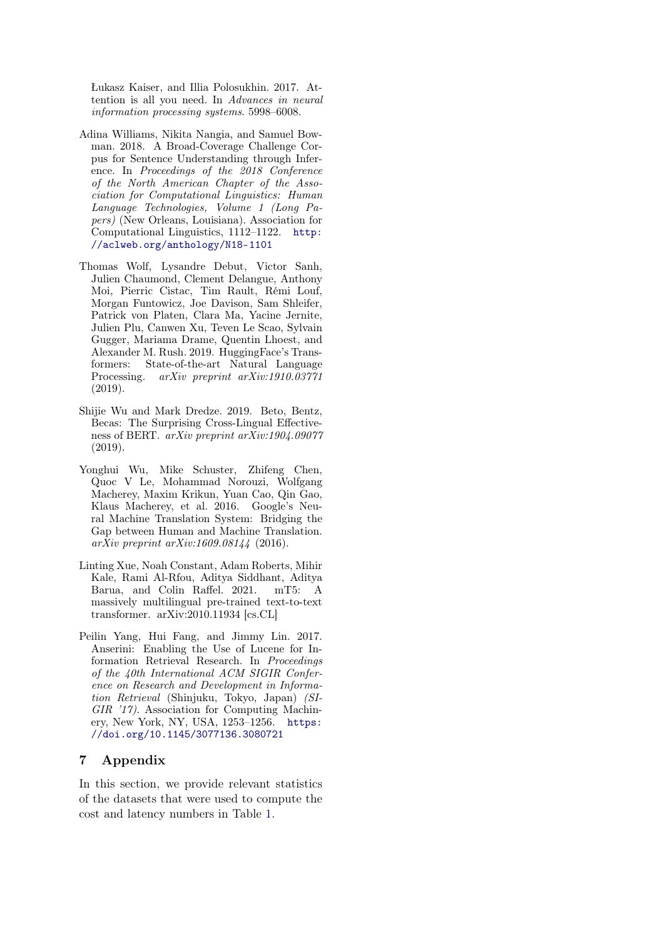Łukasz Kaiser, and Illia Polosukhin. 2017. Attention is all you need. In Advances in neural information processing systems. 5998–6008.

- <span id="page-11-3"></span>Adina Williams, Nikita Nangia, and Samuel Bowman. 2018. A Broad-Coverage Challenge Corpus for Sentence Understanding through Inference. In Proceedings of the 2018 Conference of the North American Chapter of the Association for Computational Linguistics: Human Language Technologies, Volume 1 (Long Papers) (New Orleans, Louisiana). Association for Computational Linguistics, 1112–1122. [http:](http://aclweb.org/anthology/N18-1101) [//aclweb.org/anthology/N18-1101](http://aclweb.org/anthology/N18-1101)
- <span id="page-11-4"></span>Thomas Wolf, Lysandre Debut, Victor Sanh, Julien Chaumond, Clement Delangue, Anthony Moi, Pierric Cistac, Tim Rault, Rémi Louf, Morgan Funtowicz, Joe Davison, Sam Shleifer, Patrick von Platen, Clara Ma, Yacine Jernite, Julien Plu, Canwen Xu, Teven Le Scao, Sylvain Gugger, Mariama Drame, Quentin Lhoest, and Alexander M. Rush. 2019. HuggingFace's Transformers: State-of-the-art Natural Language Processing. arXiv preprint arXiv:1910.03771 (2019).
- <span id="page-11-0"></span>Shijie Wu and Mark Dredze. 2019. Beto, Bentz, Becas: The Surprising Cross-Lingual Effectiveness of BERT. arXiv preprint arXiv:1904.09077 (2019).
- <span id="page-11-2"></span>Yonghui Wu, Mike Schuster, Zhifeng Chen, Quoc V Le, Mohammad Norouzi, Wolfgang Macherey, Maxim Krikun, Yuan Cao, Qin Gao, Klaus Macherey, et al. 2016. Google's Neural Machine Translation System: Bridging the Gap between Human and Machine Translation. arXiv preprint arXiv:1609.08144 (2016).
- <span id="page-11-1"></span>Linting Xue, Noah Constant, Adam Roberts, Mihir Kale, Rami Al-Rfou, Aditya Siddhant, Aditya Barua, and Colin Raffel. 2021. mT5: A massively multilingual pre-trained text-to-text transformer. arXiv:2010.11934 [cs.CL]
- <span id="page-11-5"></span>Peilin Yang, Hui Fang, and Jimmy Lin. 2017. Anserini: Enabling the Use of Lucene for Information Retrieval Research. In Proceedings of the 40th International ACM SIGIR Conference on Research and Development in Information Retrieval (Shinjuku, Tokyo, Japan) (SI-GIR '17). Association for Computing Machinery, New York, NY, USA, 1253–1256. [https:](https://doi.org/10.1145/3077136.3080721) [//doi.org/10.1145/3077136.3080721](https://doi.org/10.1145/3077136.3080721)

## 7 Appendix

In this section, we provide relevant statistics of the datasets that were used to compute the cost and latency numbers in Table [1.](#page-6-1)